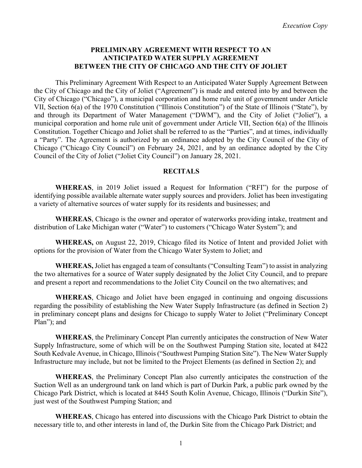### **PRELIMINARY AGREEMENT WITH RESPECT TO AN ANTICIPATED WATER SUPPLY AGREEMENT BETWEEN THE CITY OF CHICAGO AND THE CITY OF JOLIET**

This Preliminary Agreement With Respect to an Anticipated Water Supply Agreement Between the City of Chicago and the City of Joliet ("Agreement") is made and entered into by and between the City of Chicago ("Chicago"), a municipal corporation and home rule unit of government under Article VII, Section 6(a) of the 1970 Constitution ("Illinois Constitution") of the State of Illinois ("State"), by and through its Department of Water Management ("DWM"), and the City of Joliet ("Joliet"), a municipal corporation and home rule unit of government under Article VII, Section 6(a) of the Illinois Constitution. Together Chicago and Joliet shall be referred to as the "Parties", and at times, individually a "Party". The Agreement is authorized by an ordinance adopted by the City Council of the City of Chicago ("Chicago City Council") on February 24, 2021, and by an ordinance adopted by the City Council of the City of Joliet ("Joliet City Council") on January 28, 2021.

#### **RECITALS**

**WHEREAS**, in 2019 Joliet issued a Request for Information ("RFI") for the purpose of identifying possible available alternate water supply sources and providers. Joliet has been investigating a variety of alternative sources of water supply for its residents and businesses; and

**WHEREAS**, Chicago is the owner and operator of waterworks providing intake, treatment and distribution of Lake Michigan water ("Water") to customers ("Chicago Water System"); and

**WHEREAS,** on August 22, 2019, Chicago filed its Notice of Intent and provided Joliet with options for the provision of Water from the Chicago Water System to Joliet; and

**WHEREAS,** Joliet has engaged a team of consultants ("Consulting Team") to assist in analyzing the two alternatives for a source of Water supply designated by the Joliet City Council, and to prepare and present a report and recommendations to the Joliet City Council on the two alternatives; and

**WHEREAS**, Chicago and Joliet have been engaged in continuing and ongoing discussions regarding the possibility of establishing the New Water Supply Infrastructure (as defined in Section 2) in preliminary concept plans and designs for Chicago to supply Water to Joliet ("Preliminary Concept Plan"); and

**WHEREAS**, the Preliminary Concept Plan currently anticipates the construction of New Water Supply Infrastructure, some of which will be on the Southwest Pumping Station site, located at 8422 South Kedvale Avenue, in Chicago, Illinois ("Southwest Pumping Station Site"). The New Water Supply Infrastructure may include, but not be limited to the Project Elements (as defined in Section 2); and

**WHEREAS**, the Preliminary Concept Plan also currently anticipates the construction of the Suction Well as an underground tank on land which is part of Durkin Park, a public park owned by the Chicago Park District, which is located at 8445 South Kolin Avenue, Chicago, Illinois ("Durkin Site"), just west of the Southwest Pumping Station; and

**WHEREAS**, Chicago has entered into discussions with the Chicago Park District to obtain the necessary title to, and other interests in land of, the Durkin Site from the Chicago Park District; and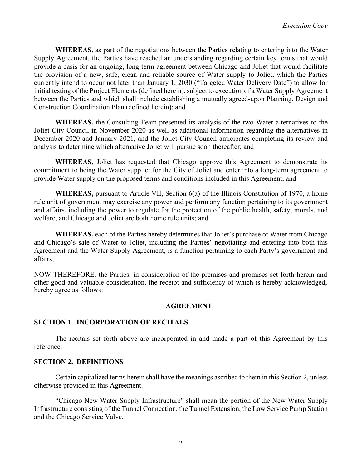**WHEREAS**, as part of the negotiations between the Parties relating to entering into the Water Supply Agreement, the Parties have reached an understanding regarding certain key terms that would provide a basis for an ongoing, long-term agreement between Chicago and Joliet that would facilitate the provision of a new, safe, clean and reliable source of Water supply to Joliet, which the Parties currently intend to occur not later than January 1, 2030 ("Targeted Water Delivery Date") to allow for initial testing of the Project Elements (defined herein), subject to execution of a Water Supply Agreement between the Parties and which shall include establishing a mutually agreed-upon Planning, Design and Construction Coordination Plan (defined herein); and

**WHEREAS,** the Consulting Team presented its analysis of the two Water alternatives to the Joliet City Council in November 2020 as well as additional information regarding the alternatives in December 2020 and January 2021, and the Joliet City Council anticipates completing its review and analysis to determine which alternative Joliet will pursue soon thereafter; and

**WHEREAS**, Joliet has requested that Chicago approve this Agreement to demonstrate its commitment to being the Water supplier for the City of Joliet and enter into a long-term agreement to provide Water supply on the proposed terms and conditions included in this Agreement; and

**WHEREAS,** pursuant to Article VII, Section 6(a) of the Illinois Constitution of 1970, a home rule unit of government may exercise any power and perform any function pertaining to its government and affairs, including the power to regulate for the protection of the public health, safety, morals, and welfare, and Chicago and Joliet are both home rule units; and

**WHEREAS,** each of the Parties hereby determines that Joliet's purchase of Water from Chicago and Chicago's sale of Water to Joliet, including the Parties' negotiating and entering into both this Agreement and the Water Supply Agreement, is a function pertaining to each Party's government and affairs;

NOW THEREFORE, the Parties, in consideration of the premises and promises set forth herein and other good and valuable consideration, the receipt and sufficiency of which is hereby acknowledged, hereby agree as follows:

### **AGREEMENT**

### **SECTION 1. INCORPORATION OF RECITALS**

The recitals set forth above are incorporated in and made a part of this Agreement by this reference.

## **SECTION 2. DEFINITIONS**

Certain capitalized terms herein shall have the meanings ascribed to them in this Section 2, unless otherwise provided in this Agreement.

"Chicago New Water Supply Infrastructure" shall mean the portion of the New Water Supply Infrastructure consisting of the Tunnel Connection, the Tunnel Extension, the Low Service Pump Station and the Chicago Service Valve.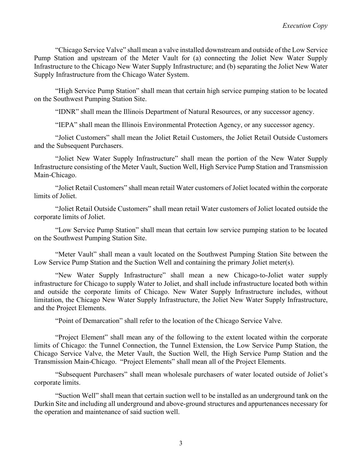"Chicago Service Valve" shall mean a valve installed downstream and outside of the Low Service Pump Station and upstream of the Meter Vault for (a) connecting the Joliet New Water Supply Infrastructure to the Chicago New Water Supply Infrastructure; and (b) separating the Joliet New Water Supply Infrastructure from the Chicago Water System.

"High Service Pump Station" shall mean that certain high service pumping station to be located on the Southwest Pumping Station Site.

"IDNR" shall mean the Illinois Department of Natural Resources, or any successor agency.

"IEPA" shall mean the Illinois Environmental Protection Agency, or any successor agency.

"Joliet Customers" shall mean the Joliet Retail Customers, the Joliet Retail Outside Customers and the Subsequent Purchasers.

"Joliet New Water Supply Infrastructure" shall mean the portion of the New Water Supply Infrastructure consisting of the Meter Vault, Suction Well, High Service Pump Station and Transmission Main-Chicago.

"Joliet Retail Customers" shall mean retail Water customers of Joliet located within the corporate limits of Joliet.

"Joliet Retail Outside Customers" shall mean retail Water customers of Joliet located outside the corporate limits of Joliet.

"Low Service Pump Station" shall mean that certain low service pumping station to be located on the Southwest Pumping Station Site.

"Meter Vault" shall mean a vault located on the Southwest Pumping Station Site between the Low Service Pump Station and the Suction Well and containing the primary Joliet meter(s).

"New Water Supply Infrastructure" shall mean a new Chicago-to-Joliet water supply infrastructure for Chicago to supply Water to Joliet, and shall include infrastructure located both within and outside the corporate limits of Chicago. New Water Supply Infrastructure includes, without limitation, the Chicago New Water Supply Infrastructure, the Joliet New Water Supply Infrastructure, and the Project Elements.

"Point of Demarcation" shall refer to the location of the Chicago Service Valve.

"Project Element" shall mean any of the following to the extent located within the corporate limits of Chicago: the Tunnel Connection, the Tunnel Extension, the Low Service Pump Station, the Chicago Service Valve, the Meter Vault, the Suction Well, the High Service Pump Station and the Transmission Main-Chicago. "Project Elements" shall mean all of the Project Elements.

"Subsequent Purchasers" shall mean wholesale purchasers of water located outside of Joliet's corporate limits.

"Suction Well" shall mean that certain suction well to be installed as an underground tank on the Durkin Site and including all underground and above-ground structures and appurtenances necessary for the operation and maintenance of said suction well.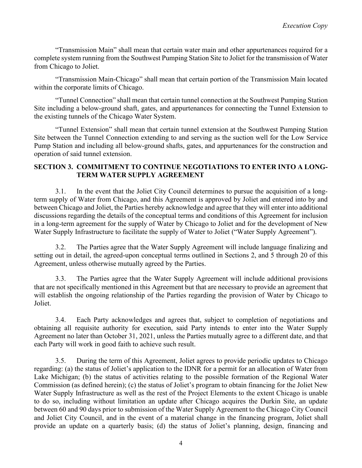"Transmission Main" shall mean that certain water main and other appurtenances required for a complete system running from the Southwest Pumping Station Site to Joliet for the transmission of Water from Chicago to Joliet.

"Transmission Main-Chicago" shall mean that certain portion of the Transmission Main located within the corporate limits of Chicago.

"Tunnel Connection" shall mean that certain tunnel connection at the Southwest Pumping Station Site including a below-ground shaft, gates, and appurtenances for connecting the Tunnel Extension to the existing tunnels of the Chicago Water System.

"Tunnel Extension" shall mean that certain tunnel extension at the Southwest Pumping Station Site between the Tunnel Connection extending to and serving as the suction well for the Low Service Pump Station and including all below-ground shafts, gates, and appurtenances for the construction and operation of said tunnel extension.

### **SECTION 3. COMMITMENT TO CONTINUE NEGOTIATIONS TO ENTER INTO A LONG-TERM WATER SUPPLY AGREEMENT**

3.1. In the event that the Joliet City Council determines to pursue the acquisition of a longterm supply of Water from Chicago, and this Agreement is approved by Joliet and entered into by and between Chicago and Joliet, the Parties hereby acknowledge and agree that they will enter into additional discussions regarding the details of the conceptual terms and conditions of this Agreement for inclusion in a long-term agreement for the supply of Water by Chicago to Joliet and for the development of New Water Supply Infrastructure to facilitate the supply of Water to Joliet ("Water Supply Agreement").

3.2. The Parties agree that the Water Supply Agreement will include language finalizing and setting out in detail, the agreed-upon conceptual terms outlined in Sections 2, and 5 through 20 of this Agreement, unless otherwise mutually agreed by the Parties.

3.3. The Parties agree that the Water Supply Agreement will include additional provisions that are not specifically mentioned in this Agreement but that are necessary to provide an agreement that will establish the ongoing relationship of the Parties regarding the provision of Water by Chicago to Joliet.

3.4. Each Party acknowledges and agrees that, subject to completion of negotiations and obtaining all requisite authority for execution, said Party intends to enter into the Water Supply Agreement no later than October 31, 2021, unless the Parties mutually agree to a different date, and that each Party will work in good faith to achieve such result.

3.5. During the term of this Agreement, Joliet agrees to provide periodic updates to Chicago regarding: (a) the status of Joliet's application to the IDNR for a permit for an allocation of Water from Lake Michigan; (b) the status of activities relating to the possible formation of the Regional Water Commission (as defined herein); (c) the status of Joliet's program to obtain financing for the Joliet New Water Supply Infrastructure as well as the rest of the Project Elements to the extent Chicago is unable to do so, including without limitation an update after Chicago acquires the Durkin Site, an update between 60 and 90 days prior to submission of the Water Supply Agreement to the Chicago City Council and Joliet City Council, and in the event of a material change in the financing program, Joliet shall provide an update on a quarterly basis; (d) the status of Joliet's planning, design, financing and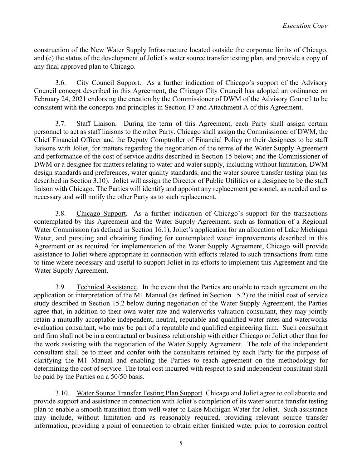construction of the New Water Supply Infrastructure located outside the corporate limits of Chicago, and (e) the status of the development of Joliet's water source transfer testing plan, and provide a copy of any final approved plan to Chicago.

3.6. City Council Support. As a further indication of Chicago's support of the Advisory Council concept described in this Agreement, the Chicago City Council has adopted an ordinance on February 24, 2021 endorsing the creation by the Commissioner of DWM of the Advisory Council to be consistent with the concepts and principles in Section 17 and Attachment A of this Agreement.

3.7. Staff Liaison. During the term of this Agreement, each Party shall assign certain personnel to act as staff liaisons to the other Party. Chicago shall assign the Commissioner of DWM, the Chief Financial Officer and the Deputy Comptroller of Financial Policy or their designees to be staff liaisons with Joliet, for matters regarding the negotiation of the terms of the Water Supply Agreement and performance of the cost of service audits described in Section 15 below; and the Commissioner of DWM or a designee for matters relating to water and water supply, including without limitation, DWM design standards and preferences, water quality standards, and the water source transfer testing plan (as described in Section 3.10). Joliet will assign the Director of Public Utilities or a designee to be the staff liaison with Chicago. The Parties will identify and appoint any replacement personnel, as needed and as necessary and will notify the other Party as to such replacement.

3.8. Chicago Support. As a further indication of Chicago's support for the transactions contemplated by this Agreement and the Water Supply Agreement, such as formation of a Regional Water Commission (as defined in Section 16.1), Joliet's application for an allocation of Lake Michigan Water, and pursuing and obtaining funding for contemplated water improvements described in this Agreement or as required for implementation of the Water Supply Agreement, Chicago will provide assistance to Joliet where appropriate in connection with efforts related to such transactions from time to time where necessary and useful to support Joliet in its efforts to implement this Agreement and the Water Supply Agreement.

3.9. Technical Assistance. In the event that the Parties are unable to reach agreement on the application or interpretation of the M1 Manual (as defined in Section 15.2) to the initial cost of service study described in Section 15.2 below during negotiation of the Water Supply Agreement, the Parties agree that, in addition to their own water rate and waterworks valuation consultant, they may jointly retain a mutually acceptable independent, neutral, reputable and qualified water rates and waterworks evaluation consultant, who may be part of a reputable and qualified engineering firm. Such consultant and firm shall not be in a contractual or business relationship with either Chicago or Joliet other than for the work assisting with the negotiation of the Water Supply Agreement. The role of the independent consultant shall be to meet and confer with the consultants retained by each Party for the purpose of clarifying the M1 Manual and enabling the Parties to reach agreement on the methodology for determining the cost of service. The total cost incurred with respect to said independent consultant shall be paid by the Parties on a 50/50 basis.

3.10. Water Source Transfer Testing Plan Support. Chicago and Joliet agree to collaborate and provide support and assistance in connection with Joliet's completion of its water source transfer testing plan to enable a smooth transition from well water to Lake Michigan Water for Joliet. Such assistance may include, without limitation and as reasonably required, providing relevant source transfer information, providing a point of connection to obtain either finished water prior to corrosion control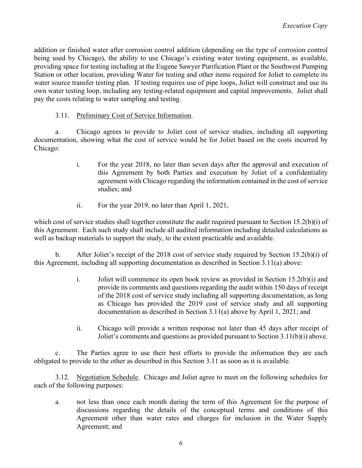addition or finished water after corrosion control addition (depending on the type of corrosion control being used by Chicago), the ability to use Chicago's existing water testing equipment, as available, providing space for testing including at the Eugene Sawyer Purification Plant or the Southwest Pumping Station or other location, providing Water for testing and other items required for Joliet to complete its water source transfer testing plan. If testing requires use of pipe loops, Joliet will construct and use its own water testing loop, including any testing-related equipment and capital improvements. Joliet shall pay the costs relating to water sampling and testing.

## 3.11. Preliminary Cost of Service Information.

a. Chicago agrees to provide to Joliet cost of service studies, including all supporting documentation, showing what the cost of service would be for Joliet based on the costs incurred by Chicago:

- i. For the year 2018, no later than seven days after the approval and execution of this Agreement by both Parties and execution by Joliet of a confidentiality agreement with Chicago regarding the information contained in the cost of service studies; and
- ii. For the year 2019, no later than April 1, 2021,

which cost of service studies shall together constitute the audit required pursuant to Section 15.2(b)(i) of this Agreement. Each such study shall include all audited information including detailed calculations as well as backup materials to support the study, to the extent practicable and available.

b. After Joliet's receipt of the 2018 cost of service study required by Section 15.2(b)(i) of this Agreement, including all supporting documentation as described in Section 3.11(a) above:

- i. Joliet will commence its open book review as provided in Section  $15.2(b)(i)$  and provide its comments and questions regarding the audit within 150 days of receipt of the 2018 cost of service study including all supporting documentation, as long as Chicago has provided the 2019 cost of service study and all supporting documentation as described in Section 3.11(a) above by April 1, 2021; and
- ii. Chicago will provide a written response not later than 45 days after receipt of Joliet's comments and questions as provided pursuant to Section 3.11(b)(i) above.

c. The Parties agree to use their best efforts to provide the information they are each obligated to provide to the other as described in this Section 3.11 as soon as it is available.

3.12. Negotiation Schedule. Chicago and Joliet agree to meet on the following schedules for each of the following purposes:

a. not less than once each month during the term of this Agreement for the purpose of discussions regarding the details of the conceptual terms and conditions of this Agreement other than water rates and charges for inclusion in the Water Supply Agreement; and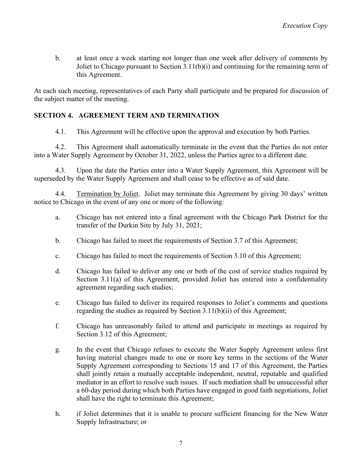b. at least once a week starting not longer than one week after delivery of comments by Joliet to Chicago pursuant to Section 3.11(b)(i) and continuing for the remaining term of this Agreement.

At each such meeting, representatives of each Party shall participate and be prepared for discussion of the subject matter of the meeting.

# **SECTION 4. AGREEMENT TERM AND TERMINATION**

4.1. This Agreement will be effective upon the approval and execution by both Parties.

4.2. This Agreement shall automatically terminate in the event that the Parties do not enter into a Water Supply Agreement by October 31, 2022, unless the Parties agree to a different date.

4.3. Upon the date the Parties enter into a Water Supply Agreement, this Agreement will be superseded by the Water Supply Agreement and shall cease to be effective as of said date.

4.4. Termination by Joliet. Joliet may terminate this Agreement by giving 30 days' written notice to Chicago in the event of any one or more of the following:

- a. Chicago has not entered into a final agreement with the Chicago Park District for the transfer of the Durkin Site by July 31, 2021;
- b. Chicago has failed to meet the requirements of Section 3.7 of this Agreement;
- c. Chicago has failed to meet the requirements of Section 3.10 of this Agreement;
- d. Chicago has failed to deliver any one or both of the cost of service studies required by Section 3.11(a) of this Agreement, provided Joliet has entered into a confidentiality agreement regarding such studies;
- e. Chicago has failed to deliver its required responses to Joliet's comments and questions regarding the studies as required by Section 3.11(b)(ii) of this Agreement;
- f. Chicago has unreasonably failed to attend and participate in meetings as required by Section 3.12 of this Agreement;
- g. In the event that Chicago refuses to execute the Water Supply Agreement unless first having material changes made to one or more key terms in the sections of the Water Supply Agreement corresponding to Sections 15 and 17 of this Agreement, the Parties shall jointly retain a mutually acceptable independent, neutral, reputable and qualified mediator in an effort to resolve such issues. If such mediation shall be unsuccessful after a 60-day period during which both Parties have engaged in good faith negotiations, Joliet shall have the right to terminate this Agreement;
- h. if Joliet determines that it is unable to procure sufficient financing for the New Water Supply Infrastructure; or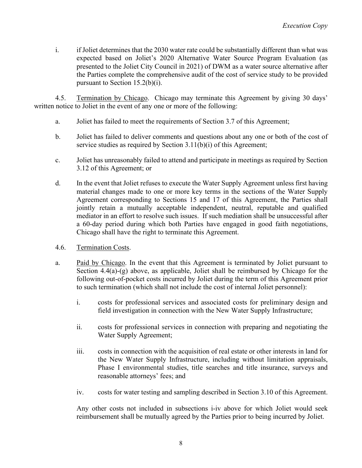i. if Joliet determines that the 2030 water rate could be substantially different than what was expected based on Joliet's 2020 Alternative Water Source Program Evaluation (as presented to the Joliet City Council in 2021) of DWM as a water source alternative after the Parties complete the comprehensive audit of the cost of service study to be provided pursuant to Section 15.2(b)(i).

4.5. Termination by Chicago. Chicago may terminate this Agreement by giving 30 days' written notice to Joliet in the event of any one or more of the following:

- a. Joliet has failed to meet the requirements of Section 3.7 of this Agreement;
- b. Joliet has failed to deliver comments and questions about any one or both of the cost of service studies as required by Section 3.11(b)(i) of this Agreement;
- c. Joliet has unreasonably failed to attend and participate in meetings as required by Section 3.12 of this Agreement; or
- d. In the event that Joliet refuses to execute the Water Supply Agreement unless first having material changes made to one or more key terms in the sections of the Water Supply Agreement corresponding to Sections 15 and 17 of this Agreement, the Parties shall jointly retain a mutually acceptable independent, neutral, reputable and qualified mediator in an effort to resolve such issues. If such mediation shall be unsuccessful after a 60-day period during which both Parties have engaged in good faith negotiations, Chicago shall have the right to terminate this Agreement.
- 4.6. Termination Costs.
- a. Paid by Chicago. In the event that this Agreement is terminated by Joliet pursuant to Section 4.4(a)-(g) above, as applicable, Joliet shall be reimbursed by Chicago for the following out-of-pocket costs incurred by Joliet during the term of this Agreement prior to such termination (which shall not include the cost of internal Joliet personnel):
	- i. costs for professional services and associated costs for preliminary design and field investigation in connection with the New Water Supply Infrastructure;
	- ii. costs for professional services in connection with preparing and negotiating the Water Supply Agreement;
	- iii. costs in connection with the acquisition of real estate or other interests in land for the New Water Supply Infrastructure, including without limitation appraisals, Phase I environmental studies, title searches and title insurance, surveys and reasonable attorneys' fees; and
	- iv. costs for water testing and sampling described in Section 3.10 of this Agreement.

Any other costs not included in subsections i-iv above for which Joliet would seek reimbursement shall be mutually agreed by the Parties prior to being incurred by Joliet.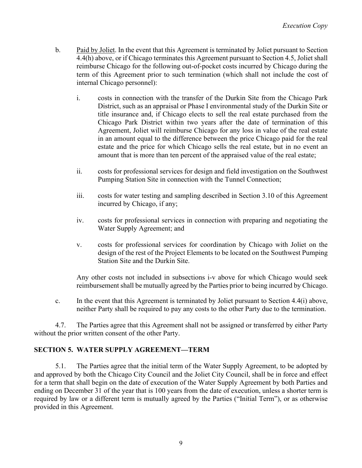- b. Paid by Joliet. In the event that this Agreement is terminated by Joliet pursuant to Section 4.4(h) above, or if Chicago terminates this Agreement pursuant to Section 4.5, Joliet shall reimburse Chicago for the following out-of-pocket costs incurred by Chicago during the term of this Agreement prior to such termination (which shall not include the cost of internal Chicago personnel):
	- i. costs in connection with the transfer of the Durkin Site from the Chicago Park District, such as an appraisal or Phase I environmental study of the Durkin Site or title insurance and, if Chicago elects to sell the real estate purchased from the Chicago Park District within two years after the date of termination of this Agreement, Joliet will reimburse Chicago for any loss in value of the real estate in an amount equal to the difference between the price Chicago paid for the real estate and the price for which Chicago sells the real estate, but in no event an amount that is more than ten percent of the appraised value of the real estate;
	- ii. costs for professional services for design and field investigation on the Southwest Pumping Station Site in connection with the Tunnel Connection;
	- iii. costs for water testing and sampling described in Section 3.10 of this Agreement incurred by Chicago, if any;
	- iv. costs for professional services in connection with preparing and negotiating the Water Supply Agreement; and
	- v. costs for professional services for coordination by Chicago with Joliet on the design of the rest of the Project Elements to be located on the Southwest Pumping Station Site and the Durkin Site.

Any other costs not included in subsections i-v above for which Chicago would seek reimbursement shall be mutually agreed by the Parties prior to being incurred by Chicago.

c. In the event that this Agreement is terminated by Joliet pursuant to Section 4.4(i) above, neither Party shall be required to pay any costs to the other Party due to the termination.

4.7. The Parties agree that this Agreement shall not be assigned or transferred by either Party without the prior written consent of the other Party.

## **SECTION 5. WATER SUPPLY AGREEMENT—TERM**

5.1. The Parties agree that the initial term of the Water Supply Agreement, to be adopted by and approved by both the Chicago City Council and the Joliet City Council, shall be in force and effect for a term that shall begin on the date of execution of the Water Supply Agreement by both Parties and ending on December 31 of the year that is 100 years from the date of execution, unless a shorter term is required by law or a different term is mutually agreed by the Parties ("Initial Term"), or as otherwise provided in this Agreement.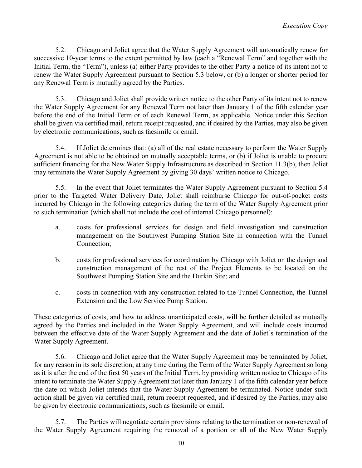5.2. Chicago and Joliet agree that the Water Supply Agreement will automatically renew for successive 10-year terms to the extent permitted by law (each a "Renewal Term" and together with the Initial Term, the "Term"), unless (a) either Party provides to the other Party a notice of its intent not to renew the Water Supply Agreement pursuant to Section 5.3 below, or (b) a longer or shorter period for any Renewal Term is mutually agreed by the Parties.

5.3. Chicago and Joliet shall provide written notice to the other Party of its intent not to renew the Water Supply Agreement for any Renewal Term not later than January 1 of the fifth calendar year before the end of the Initial Term or of each Renewal Term, as applicable. Notice under this Section shall be given via certified mail, return receipt requested, and if desired by the Parties, may also be given by electronic communications, such as facsimile or email.

5.4. If Joliet determines that: (a) all of the real estate necessary to perform the Water Supply Agreement is not able to be obtained on mutually acceptable terms, or (b) if Joliet is unable to procure sufficient financing for the New Water Supply Infrastructure as described in Section 11.3(b), then Joliet may terminate the Water Supply Agreement by giving 30 days' written notice to Chicago.

5.5. In the event that Joliet terminates the Water Supply Agreement pursuant to Section 5.4 prior to the Targeted Water Delivery Date, Joliet shall reimburse Chicago for out-of-pocket costs incurred by Chicago in the following categories during the term of the Water Supply Agreement prior to such termination (which shall not include the cost of internal Chicago personnel):

- a. costs for professional services for design and field investigation and construction management on the Southwest Pumping Station Site in connection with the Tunnel Connection;
- b. costs for professional services for coordination by Chicago with Joliet on the design and construction management of the rest of the Project Elements to be located on the Southwest Pumping Station Site and the Durkin Site; and
- c. costs in connection with any construction related to the Tunnel Connection, the Tunnel Extension and the Low Service Pump Station.

These categories of costs, and how to address unanticipated costs, will be further detailed as mutually agreed by the Parties and included in the Water Supply Agreement, and will include costs incurred between the effective date of the Water Supply Agreement and the date of Joliet's termination of the Water Supply Agreement.

5.6. Chicago and Joliet agree that the Water Supply Agreement may be terminated by Joliet, for any reason in its sole discretion, at any time during the Term of the Water Supply Agreement so long as it is after the end of the first 50 years of the Initial Term, by providing written notice to Chicago of its intent to terminate the Water Supply Agreement not later than January 1 of the fifth calendar year before the date on which Joliet intends that the Water Supply Agreement be terminated. Notice under such action shall be given via certified mail, return receipt requested, and if desired by the Parties, may also be given by electronic communications, such as facsimile or email.

5.7. The Parties will negotiate certain provisions relating to the termination or non-renewal of the Water Supply Agreement requiring the removal of a portion or all of the New Water Supply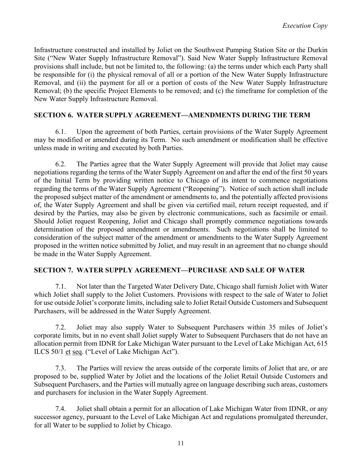Infrastructure constructed and installed by Joliet on the Southwest Pumping Station Site or the Durkin Site ("New Water Supply Infrastructure Removal"). Said New Water Supply Infrastructure Removal provisions shall include, but not be limited to, the following: (a) the terms under which each Party shall be responsible for (i) the physical removal of all or a portion of the New Water Supply Infrastructure Removal, and (ii) the payment for all or a portion of costs of the New Water Supply Infrastructure Removal; (b) the specific Project Elements to be removed; and (c) the timeframe for completion of the New Water Supply Infrastructure Removal.

## **SECTION 6. WATER SUPPLY AGREEMENT—AMENDMENTS DURING THE TERM**

6.1. Upon the agreement of both Parties, certain provisions of the Water Supply Agreement may be modified or amended during its Term. No such amendment or modification shall be effective unless made in writing and executed by both Parties.

6.2. The Parties agree that the Water Supply Agreement will provide that Joliet may cause negotiations regarding the terms of the Water Supply Agreement on and after the end of the first 50 years of the Initial Term by providing written notice to Chicago of its intent to commence negotiations regarding the terms of the Water Supply Agreement ("Reopening"). Notice of such action shall include the proposed subject matter of the amendment or amendments to, and the potentially affected provisions of, the Water Supply Agreement and shall be given via certified mail, return receipt requested, and if desired by the Parties, may also be given by electronic communications, such as facsimile or email. Should Joliet request Reopening, Joliet and Chicago shall promptly commence negotiations towards determination of the proposed amendment or amendments. Such negotiations shall be limited to consideration of the subject matter of the amendment or amendments to the Water Supply Agreement proposed in the written notice submitted by Joliet, and may result in an agreement that no change should be made in the Water Supply Agreement.

## **SECTION 7. WATER SUPPLY AGREEMENT—PURCHASE AND SALE OF WATER**

7.1. Not later than the Targeted Water Delivery Date, Chicago shall furnish Joliet with Water which Joliet shall supply to the Joliet Customers. Provisions with respect to the sale of Water to Joliet for use outside Joliet's corporate limits, including sale to Joliet Retail Outside Customers and Subsequent Purchasers, will be addressed in the Water Supply Agreement.

7.2. Joliet may also supply Water to Subsequent Purchasers within 35 miles of Joliet's corporate limits, but in no event shall Joliet supply Water to Subsequent Purchasers that do not have an allocation permit from IDNR for Lake Michigan Water pursuant to the Level of Lake Michigan Act, 615 ILCS 50/1 et seq. ("Level of Lake Michigan Act").

7.3. The Parties will review the areas outside of the corporate limits of Joliet that are, or are proposed to be, supplied Water by Joliet and the locations of the Joliet Retail Outside Customers and Subsequent Purchasers, and the Parties will mutually agree on language describing such areas, customers and purchasers for inclusion in the Water Supply Agreement.

7.4. Joliet shall obtain a permit for an allocation of Lake Michigan Water from IDNR, or any successor agency, pursuant to the Level of Lake Michigan Act and regulations promulgated thereunder, for all Water to be supplied to Joliet by Chicago.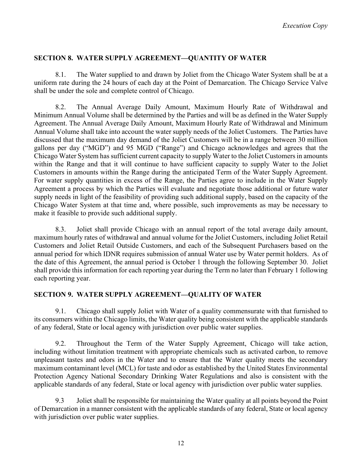### **SECTION 8. WATER SUPPLY AGREEMENT—QUANTITY OF WATER**

8.1. The Water supplied to and drawn by Joliet from the Chicago Water System shall be at a uniform rate during the 24 hours of each day at the Point of Demarcation. The Chicago Service Valve shall be under the sole and complete control of Chicago.

8.2. The Annual Average Daily Amount, Maximum Hourly Rate of Withdrawal and Minimum Annual Volume shall be determined by the Parties and will be as defined in the Water Supply Agreement. The Annual Average Daily Amount, Maximum Hourly Rate of Withdrawal and Minimum Annual Volume shall take into account the water supply needs of the Joliet Customers. The Parties have discussed that the maximum day demand of the Joliet Customers will be in a range between 30 million gallons per day ("MGD") and 95 MGD ("Range") and Chicago acknowledges and agrees that the Chicago Water System has sufficient current capacity to supply Water to the Joliet Customers in amounts within the Range and that it will continue to have sufficient capacity to supply Water to the Joliet Customers in amounts within the Range during the anticipated Term of the Water Supply Agreement. For water supply quantities in excess of the Range, the Parties agree to include in the Water Supply Agreement a process by which the Parties will evaluate and negotiate those additional or future water supply needs in light of the feasibility of providing such additional supply, based on the capacity of the Chicago Water System at that time and, where possible, such improvements as may be necessary to make it feasible to provide such additional supply.

8.3. Joliet shall provide Chicago with an annual report of the total average daily amount, maximum hourly rates of withdrawal and annual volume for the Joliet Customers, including Joliet Retail Customers and Joliet Retail Outside Customers, and each of the Subsequent Purchasers based on the annual period for which IDNR requires submission of annual Water use by Water permit holders. As of the date of this Agreement, the annual period is October 1 through the following September 30. Joliet shall provide this information for each reporting year during the Term no later than February 1 following each reporting year.

## **SECTION 9. WATER SUPPLY AGREEMENT—QUALITY OF WATER**

9.1. Chicago shall supply Joliet with Water of a quality commensurate with that furnished to its consumers within the Chicago limits, the Water quality being consistent with the applicable standards of any federal, State or local agency with jurisdiction over public water supplies.

9.2. Throughout the Term of the Water Supply Agreement, Chicago will take action, including without limitation treatment with appropriate chemicals such as activated carbon, to remove unpleasant tastes and odors in the Water and to ensure that the Water quality meets the secondary maximum contaminant level (MCL) for taste and odor as established by the United States Environmental Protection Agency National Secondary Drinking Water Regulations and also is consistent with the applicable standards of any federal, State or local agency with jurisdiction over public water supplies.

9.3 Joliet shall be responsible for maintaining the Water quality at all points beyond the Point of Demarcation in a manner consistent with the applicable standards of any federal, State or local agency with jurisdiction over public water supplies.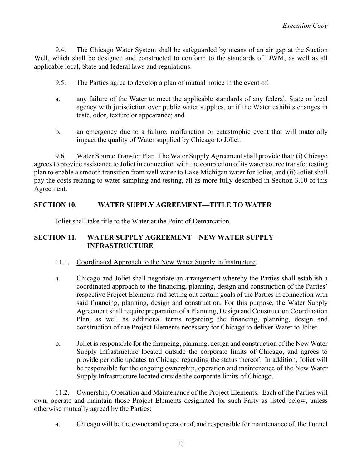9.4. The Chicago Water System shall be safeguarded by means of an air gap at the Suction Well, which shall be designed and constructed to conform to the standards of DWM, as well as all applicable local, State and federal laws and regulations.

- 9.5. The Parties agree to develop a plan of mutual notice in the event of:
- a. any failure of the Water to meet the applicable standards of any federal, State or local agency with jurisdiction over public water supplies, or if the Water exhibits changes in taste, odor, texture or appearance; and
- b. an emergency due to a failure, malfunction or catastrophic event that will materially impact the quality of Water supplied by Chicago to Joliet.

9.6. Water Source Transfer Plan. The Water Supply Agreement shall provide that: (i) Chicago agrees to provide assistance to Joliet in connection with the completion of its water source transfer testing plan to enable a smooth transition from well water to Lake Michigan water for Joliet, and (ii) Joliet shall pay the costs relating to water sampling and testing, all as more fully described in Section 3.10 of this Agreement.

### **SECTION 10. WATER SUPPLY AGREEMENT—TITLE TO WATER**

Joliet shall take title to the Water at the Point of Demarcation.

## **SECTION 11. WATER SUPPLY AGREEMENT—NEW WATER SUPPLY INFRASTRUCTURE**

### 11.1. Coordinated Approach to the New Water Supply Infrastructure.

- a. Chicago and Joliet shall negotiate an arrangement whereby the Parties shall establish a coordinated approach to the financing, planning, design and construction of the Parties' respective Project Elements and setting out certain goals of the Parties in connection with said financing, planning, design and construction. For this purpose, the Water Supply Agreement shall require preparation of a Planning, Design and Construction Coordination Plan, as well as additional terms regarding the financing, planning, design and construction of the Project Elements necessary for Chicago to deliver Water to Joliet.
- b. Joliet is responsible for the financing, planning, design and construction of the New Water Supply Infrastructure located outside the corporate limits of Chicago, and agrees to provide periodic updates to Chicago regarding the status thereof. In addition, Joliet will be responsible for the ongoing ownership, operation and maintenance of the New Water Supply Infrastructure located outside the corporate limits of Chicago.

11.2. Ownership, Operation and Maintenance of the Project Elements. Each of the Parties will own, operate and maintain those Project Elements designated for such Party as listed below, unless otherwise mutually agreed by the Parties:

a. Chicago will be the owner and operator of, and responsible for maintenance of, the Tunnel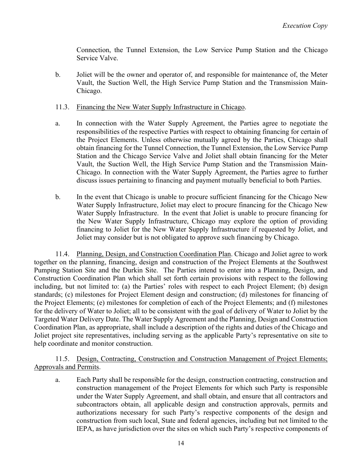Connection, the Tunnel Extension, the Low Service Pump Station and the Chicago Service Valve.

b. Joliet will be the owner and operator of, and responsible for maintenance of, the Meter Vault, the Suction Well, the High Service Pump Station and the Transmission Main-Chicago.

### 11.3. Financing the New Water Supply Infrastructure in Chicago.

- a. In connection with the Water Supply Agreement, the Parties agree to negotiate the responsibilities of the respective Parties with respect to obtaining financing for certain of the Project Elements. Unless otherwise mutually agreed by the Parties, Chicago shall obtain financing for the Tunnel Connection, the Tunnel Extension, the Low Service Pump Station and the Chicago Service Valve and Joliet shall obtain financing for the Meter Vault, the Suction Well, the High Service Pump Station and the Transmission Main-Chicago. In connection with the Water Supply Agreement, the Parties agree to further discuss issues pertaining to financing and payment mutually beneficial to both Parties.
- b. In the event that Chicago is unable to procure sufficient financing for the Chicago New Water Supply Infrastructure, Joliet may elect to procure financing for the Chicago New Water Supply Infrastructure. In the event that Joliet is unable to procure financing for the New Water Supply Infrastructure, Chicago may explore the option of providing financing to Joliet for the New Water Supply Infrastructure if requested by Joliet, and Joliet may consider but is not obligated to approve such financing by Chicago.

11.4. Planning, Design, and Construction Coordination Plan. Chicago and Joliet agree to work together on the planning, financing, design and construction of the Project Elements at the Southwest Pumping Station Site and the Durkin Site. The Parties intend to enter into a Planning, Design, and Construction Coordination Plan which shall set forth certain provisions with respect to the following including, but not limited to: (a) the Parties' roles with respect to each Project Element; (b) design standards; (c) milestones for Project Element design and construction; (d) milestones for financing of the Project Elements; (e) milestones for completion of each of the Project Elements; and (f) milestones for the delivery of Water to Joliet; all to be consistent with the goal of delivery of Water to Joliet by the Targeted Water Delivery Date. The Water Supply Agreement and the Planning, Design and Construction Coordination Plan, as appropriate, shall include a description of the rights and duties of the Chicago and Joliet project site representatives, including serving as the applicable Party's representative on site to help coordinate and monitor construction.

11.5. Design, Contracting, Construction and Construction Management of Project Elements; Approvals and Permits.

a. Each Party shall be responsible for the design, construction contracting, construction and construction management of the Project Elements for which such Party is responsible under the Water Supply Agreement, and shall obtain, and ensure that all contractors and subcontractors obtain, all applicable design and construction approvals, permits and authorizations necessary for such Party's respective components of the design and construction from such local, State and federal agencies, including but not limited to the IEPA, as have jurisdiction over the sites on which such Party's respective components of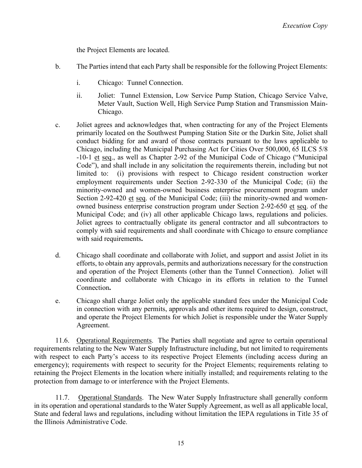the Project Elements are located.

- b. The Parties intend that each Party shall be responsible for the following Project Elements:
	- i. Chicago: Tunnel Connection.
	- ii. Joliet: Tunnel Extension, Low Service Pump Station, Chicago Service Valve, Meter Vault, Suction Well, High Service Pump Station and Transmission Main-Chicago.
- c. Joliet agrees and acknowledges that, when contracting for any of the Project Elements primarily located on the Southwest Pumping Station Site or the Durkin Site, Joliet shall conduct bidding for and award of those contracts pursuant to the laws applicable to Chicago, including the Municipal Purchasing Act for Cities Over 500,000, 65 ILCS 5/8 -10-1 et seq., as well as Chapter 2-92 of the Municipal Code of Chicago ("Municipal Code"), and shall include in any solicitation the requirements therein, including but not limited to: (i) provisions with respect to Chicago resident construction worker employment requirements under Section 2-92-330 of the Municipal Code; (ii) the minority-owned and women-owned business enterprise procurement program under Section 2-92-420 et seq. of the Municipal Code; (iii) the minority-owned and womenowned business enterprise construction program under Section 2-92-650 et seq. of the Municipal Code; and (iv) all other applicable Chicago laws, regulations and policies. Joliet agrees to contractually obligate its general contractor and all subcontractors to comply with said requirements and shall coordinate with Chicago to ensure compliance with said requirements**.**
- d. Chicago shall coordinate and collaborate with Joliet, and support and assist Joliet in its efforts, to obtain any approvals, permits and authorizations necessary for the construction and operation of the Project Elements (other than the Tunnel Connection). Joliet will coordinate and collaborate with Chicago in its efforts in relation to the Tunnel Connection**.**
- e. Chicago shall charge Joliet only the applicable standard fees under the Municipal Code in connection with any permits, approvals and other items required to design, construct, and operate the Project Elements for which Joliet is responsible under the Water Supply Agreement.

11.6. Operational Requirements. The Parties shall negotiate and agree to certain operational requirements relating to the New Water Supply Infrastructure including, but not limited to requirements with respect to each Party's access to its respective Project Elements (including access during an emergency); requirements with respect to security for the Project Elements; requirements relating to retaining the Project Elements in the location where initially installed; and requirements relating to the protection from damage to or interference with the Project Elements.

11.7. Operational Standards. The New Water Supply Infrastructure shall generally conform in its operation and operational standards to the Water Supply Agreement, as well as all applicable local, State and federal laws and regulations, including without limitation the IEPA regulations in Title 35 of the Illinois Administrative Code.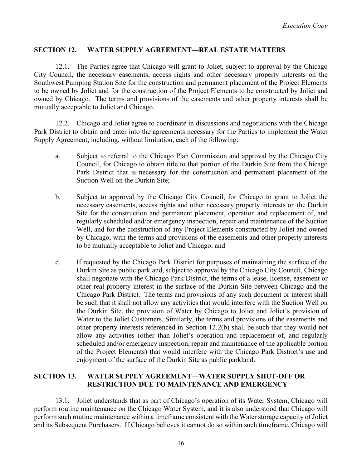### **SECTION 12. WATER SUPPLY AGREEMENT—REAL ESTATE MATTERS**

12.1. The Parties agree that Chicago will grant to Joliet, subject to approval by the Chicago City Council, the necessary easements, access rights and other necessary property interests on the Southwest Pumping Station Site for the construction and permanent placement of the Project Elements to be owned by Joliet and for the construction of the Project Elements to be constructed by Joliet and owned by Chicago. The terms and provisions of the easements and other property interests shall be mutually acceptable to Joliet and Chicago.

12.2. Chicago and Joliet agree to coordinate in discussions and negotiations with the Chicago Park District to obtain and enter into the agreements necessary for the Parties to implement the Water Supply Agreement, including, without limitation, each of the following:

- a. Subject to referral to the Chicago Plan Commission and approval by the Chicago City Council, for Chicago to obtain title to that portion of the Durkin Site from the Chicago Park District that is necessary for the construction and permanent placement of the Suction Well on the Durkin Site;
- b. Subject to approval by the Chicago City Council, for Chicago to grant to Joliet the necessary easements, access rights and other necessary property interests on the Durkin Site for the construction and permanent placement, operation and replacement of, and regularly scheduled and/or emergency inspection, repair and maintenance of the Suction Well, and for the construction of any Project Elements constructed by Joliet and owned by Chicago, with the terms and provisions of the easements and other property interests to be mutually acceptable to Joliet and Chicago; and
- c. If requested by the Chicago Park District for purposes of maintaining the surface of the Durkin Site as public parkland, subject to approval by the Chicago City Council, Chicago shall negotiate with the Chicago Park District, the terms of a lease, license, easement or other real property interest in the surface of the Durkin Site between Chicago and the Chicago Park District. The terms and provisions of any such document or interest shall be such that it shall not allow any activities that would interfere with the Suction Well on the Durkin Site, the provision of Water by Chicago to Joliet and Joliet's provision of Water to the Joliet Customers. Similarly, the terms and provisions of the easements and other property interests referenced in Section 12.2(b) shall be such that they would not allow any activities (other than Joliet's operation and replacement of, and regularly scheduled and/or emergency inspection, repair and maintenance of the applicable portion of the Project Elements) that would interfere with the Chicago Park District's use and enjoyment of the surface of the Durkin Site as public parkland.

### **SECTION 13. WATER SUPPLY AGREEMENT—WATER SUPPLY SHUT-OFF OR RESTRICTION DUE TO MAINTENANCE AND EMERGENCY**

13.1. Joliet understands that as part of Chicago's operation of its Water System, Chicago will perform routine maintenance on the Chicago Water System, and it is also understood that Chicago will perform such routine maintenance within a timeframe consistent with the Water storage capacity of Joliet and its Subsequent Purchasers. If Chicago believes it cannot do so within such timeframe, Chicago will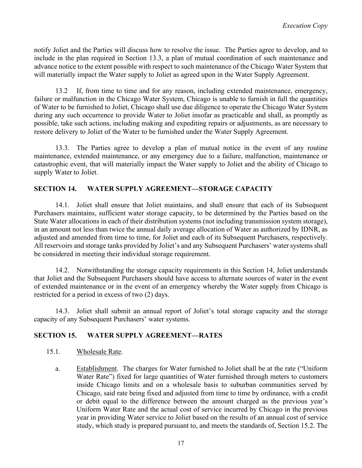notify Joliet and the Parties will discuss how to resolve the issue. The Parties agree to develop, and to include in the plan required in Section 13.3, a plan of mutual coordination of such maintenance and advance notice to the extent possible with respect to such maintenance of the Chicago Water System that will materially impact the Water supply to Joliet as agreed upon in the Water Supply Agreement.

13.2 If, from time to time and for any reason, including extended maintenance, emergency, failure or malfunction in the Chicago Water System, Chicago is unable to furnish in full the quantities of Water to be furnished to Joliet, Chicago shall use due diligence to operate the Chicago Water System during any such occurrence to provide Water to Joliet insofar as practicable and shall, as promptly as possible, take such actions, including making and expediting repairs or adjustments, as are necessary to restore delivery to Joliet of the Water to be furnished under the Water Supply Agreement.

13.3. The Parties agree to develop a plan of mutual notice in the event of any routine maintenance, extended maintenance, or any emergency due to a failure, malfunction, maintenance or catastrophic event, that will materially impact the Water supply to Joliet and the ability of Chicago to supply Water to Joliet.

# **SECTION 14. WATER SUPPLY AGREEMENT—STORAGE CAPACITY**

14.1. Joliet shall ensure that Joliet maintains, and shall ensure that each of its Subsequent Purchasers maintains, sufficient water storage capacity, to be determined by the Parties based on the State Water allocations in each of their distribution systems (not including transmission system storage), in an amount not less than twice the annual daily average allocation of Water as authorized by IDNR, as adjusted and amended from time to time, for Joliet and each of its Subsequent Purchasers, respectively. All reservoirs and storage tanks provided by Joliet's and any Subsequent Purchasers' water systems shall be considered in meeting their individual storage requirement.

14.2. Notwithstanding the storage capacity requirements in this Section 14, Joliet understands that Joliet and the Subsequent Purchasers should have access to alternate sources of water in the event of extended maintenance or in the event of an emergency whereby the Water supply from Chicago is restricted for a period in excess of two (2) days.

14.3. Joliet shall submit an annual report of Joliet's total storage capacity and the storage capacity of any Subsequent Purchasers' water systems.

## **SECTION 15. WATER SUPPLY AGREEMENT—RATES**

- 15.1. Wholesale Rate.
	- a. Establishment. The charges for Water furnished to Joliet shall be at the rate ("Uniform Water Rate") fixed for large quantities of Water furnished through meters to customers inside Chicago limits and on a wholesale basis to suburban communities served by Chicago, said rate being fixed and adjusted from time to time by ordinance, with a credit or debit equal to the difference between the amount charged as the previous year's Uniform Water Rate and the actual cost of service incurred by Chicago in the previous year in providing Water service to Joliet based on the results of an annual cost of service study, which study is prepared pursuant to, and meets the standards of, Section 15.2. The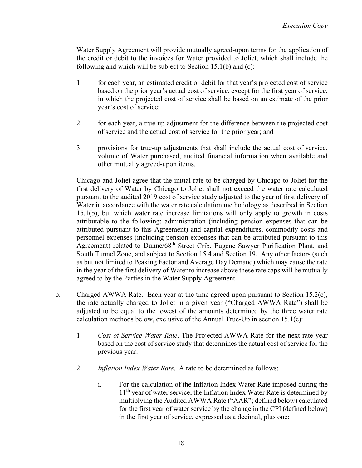Water Supply Agreement will provide mutually agreed-upon terms for the application of the credit or debit to the invoices for Water provided to Joliet, which shall include the following and which will be subject to Section 15.1(b) and (c):

- 1. for each year, an estimated credit or debit for that year's projected cost of service based on the prior year's actual cost of service, except for the first year of service, in which the projected cost of service shall be based on an estimate of the prior year's cost of service;
- 2. for each year, a true-up adjustment for the difference between the projected cost of service and the actual cost of service for the prior year; and
- 3. provisions for true-up adjustments that shall include the actual cost of service, volume of Water purchased, audited financial information when available and other mutually agreed-upon items.

Chicago and Joliet agree that the initial rate to be charged by Chicago to Joliet for the first delivery of Water by Chicago to Joliet shall not exceed the water rate calculated pursuant to the audited 2019 cost of service study adjusted to the year of first delivery of Water in accordance with the water rate calculation methodology as described in Section 15.1(b), but which water rate increase limitations will only apply to growth in costs attributable to the following: administration (including pension expenses that can be attributed pursuant to this Agreement) and capital expenditures, commodity costs and personnel expenses (including pension expenses that can be attributed pursuant to this Agreement) related to Dunne/68<sup>th</sup> Street Crib, Eugene Sawyer Purification Plant, and South Tunnel Zone, and subject to Section 15.4 and Section 19. Any other factors (such as but not limited to Peaking Factor and Average Day Demand) which may cause the rate in the year of the first delivery of Water to increase above these rate caps will be mutually agreed to by the Parties in the Water Supply Agreement.

- b. Charged AWWA Rate. Each year at the time agreed upon pursuant to Section 15.2(c), the rate actually charged to Joliet in a given year ("Charged AWWA Rate") shall be adjusted to be equal to the lowest of the amounts determined by the three water rate calculation methods below, exclusive of the Annual True-Up in section 15.1(c):
	- 1. *Cost of Service Water Rate*. The Projected AWWA Rate for the next rate year based on the cost of service study that determines the actual cost of service for the previous year.
	- 2. *Inflation Index Water Rate*. A rate to be determined as follows:
		- i. For the calculation of the Inflation Index Water Rate imposed during the 11<sup>th</sup> year of water service, the Inflation Index Water Rate is determined by multiplying the Audited AWWA Rate ("AAR"; defined below) calculated for the first year of water service by the change in the CPI (defined below) in the first year of service, expressed as a decimal, plus one: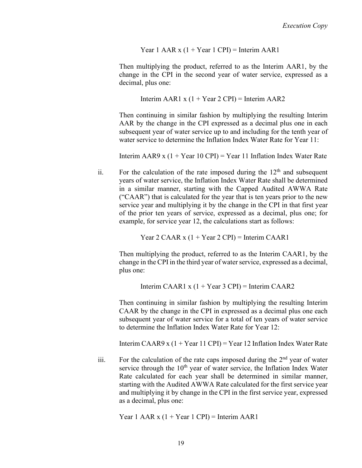Year 1 AAR  $x$  (1 + Year 1 CPI) = Interim AAR1

Then multiplying the product, referred to as the Interim AAR1, by the change in the CPI in the second year of water service, expressed as a decimal, plus one:

Interim AAR1 x  $(1 + Year 2 \text{ CPI})$  = Interim AAR2

Then continuing in similar fashion by multiplying the resulting Interim AAR by the change in the CPI expressed as a decimal plus one in each subsequent year of water service up to and including for the tenth year of water service to determine the Inflation Index Water Rate for Year 11:

Interim AAR9 x  $(1 + Year 10$  CPI) = Year 11 Inflation Index Water Rate

ii. For the calculation of the rate imposed during the  $12<sup>th</sup>$  and subsequent years of water service, the Inflation Index Water Rate shall be determined in a similar manner, starting with the Capped Audited AWWA Rate ("CAAR") that is calculated for the year that is ten years prior to the new service year and multiplying it by the change in the CPI in that first year of the prior ten years of service, expressed as a decimal, plus one; for example, for service year 12, the calculations start as follows:

Year 2 CAAR  $x$  (1 + Year 2 CPI) = Interim CAAR1

Then multiplying the product, referred to as the Interim CAAR1, by the change in the CPI in the third year of water service, expressed as a decimal, plus one:

Interim CAAR1 x  $(1 + Year 3$  CPI) = Interim CAAR2

Then continuing in similar fashion by multiplying the resulting Interim CAAR by the change in the CPI in expressed as a decimal plus one each subsequent year of water service for a total of ten years of water service to determine the Inflation Index Water Rate for Year 12:

Interim CAAR9 x  $(1 + Year 11$  CPI) = Year 12 Inflation Index Water Rate

iii. For the calculation of the rate caps imposed during the  $2<sup>nd</sup>$  year of water service through the 10<sup>th</sup> year of water service, the Inflation Index Water Rate calculated for each year shall be determined in similar manner, starting with the Audited AWWA Rate calculated for the first service year and multiplying it by change in the CPI in the first service year, expressed as a decimal, plus one:

Year 1 AAR  $x$  (1 + Year 1 CPI) = Interim AAR1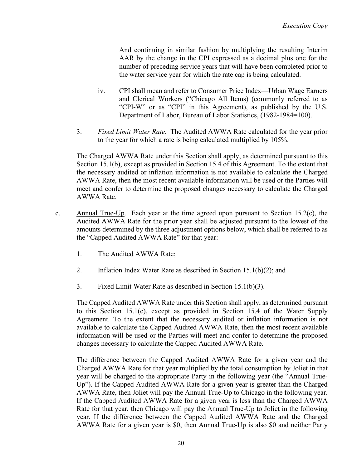And continuing in similar fashion by multiplying the resulting Interim AAR by the change in the CPI expressed as a decimal plus one for the number of preceding service years that will have been completed prior to the water service year for which the rate cap is being calculated.

- iv. CPI shall mean and refer to Consumer Price Index—Urban Wage Earners and Clerical Workers ("Chicago All Items) (commonly referred to as "CPI-W" or as "CPI" in this Agreement), as published by the U.S. Department of Labor, Bureau of Labor Statistics, (1982-1984=100).
- 3. *Fixed Limit Water Rate*. The Audited AWWA Rate calculated for the year prior to the year for which a rate is being calculated multiplied by 105%.

The Charged AWWA Rate under this Section shall apply, as determined pursuant to this Section 15.1(b), except as provided in Section 15.4 of this Agreement. To the extent that the necessary audited or inflation information is not available to calculate the Charged AWWA Rate, then the most recent available information will be used or the Parties will meet and confer to determine the proposed changes necessary to calculate the Charged AWWA Rate.

- c. Annual True-Up. Each year at the time agreed upon pursuant to Section 15.2(c), the Audited AWWA Rate for the prior year shall be adjusted pursuant to the lowest of the amounts determined by the three adjustment options below, which shall be referred to as the "Capped Audited AWWA Rate" for that year:
	- 1. The Audited AWWA Rate;
	- 2. Inflation Index Water Rate as described in Section 15.1(b)(2); and
	- 3. Fixed Limit Water Rate as described in Section 15.1(b)(3).

The Capped Audited AWWA Rate under this Section shall apply, as determined pursuant to this Section 15.1(c), except as provided in Section 15.4 of the Water Supply Agreement. To the extent that the necessary audited or inflation information is not available to calculate the Capped Audited AWWA Rate, then the most recent available information will be used or the Parties will meet and confer to determine the proposed changes necessary to calculate the Capped Audited AWWA Rate.

The difference between the Capped Audited AWWA Rate for a given year and the Charged AWWA Rate for that year multiplied by the total consumption by Joliet in that year will be charged to the appropriate Party in the following year (the "Annual True-Up"). If the Capped Audited AWWA Rate for a given year is greater than the Charged AWWA Rate, then Joliet will pay the Annual True-Up to Chicago in the following year. If the Capped Audited AWWA Rate for a given year is less than the Charged AWWA Rate for that year, then Chicago will pay the Annual True-Up to Joliet in the following year. If the difference between the Capped Audited AWWA Rate and the Charged AWWA Rate for a given year is \$0, then Annual True-Up is also \$0 and neither Party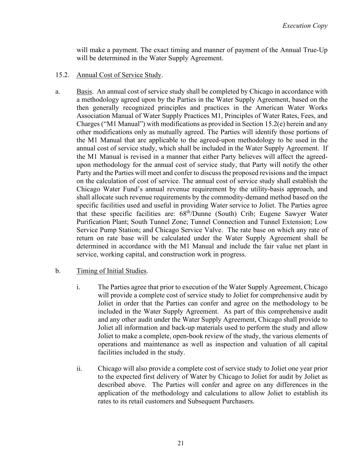will make a payment. The exact timing and manner of payment of the Annual True-Up will be determined in the Water Supply Agreement.

- 15.2. Annual Cost of Service Study.
- a. Basis. An annual cost of service study shall be completed by Chicago in accordance with a methodology agreed upon by the Parties in the Water Supply Agreement, based on the then generally recognized principles and practices in the American Water Works Association Manual of Water Supply Practices M1, Principles of Water Rates, Fees, and Charges ("M1 Manual") with modifications as provided in Section 15.2(e) herein and any other modifications only as mutually agreed. The Parties will identify those portions of the M1 Manual that are applicable to the agreed-upon methodology to be used in the annual cost of service study, which shall be included in the Water Supply Agreement. If the M1 Manual is revised in a manner that either Party believes will affect the agreedupon methodology for the annual cost of service study, that Party will notify the other Party and the Parties will meet and confer to discuss the proposed revisions and the impact on the calculation of cost of service. The annual cost of service study shall establish the Chicago Water Fund's annual revenue requirement by the utility-basis approach, and shall allocate such revenue requirements by the commodity-demand method based on the specific facilities used and useful in providing Water service to Joliet. The Parties agree that these specific facilities are: 68th/Dunne (South) Crib; Eugene Sawyer Water Purification Plant; South Tunnel Zone; Tunnel Connection and Tunnel Extension; Low Service Pump Station; and Chicago Service Valve. The rate base on which any rate of return on rate base will be calculated under the Water Supply Agreement shall be determined in accordance with the M1 Manual and include the fair value net plant in service, working capital, and construction work in progress.
- b. Timing of Initial Studies.
	- i. The Parties agree that prior to execution of the Water Supply Agreement, Chicago will provide a complete cost of service study to Joliet for comprehensive audit by Joliet in order that the Parties can confer and agree on the methodology to be included in the Water Supply Agreement. As part of this comprehensive audit and any other audit under the Water Supply Agreement, Chicago shall provide to Joliet all information and back-up materials used to perform the study and allow Joliet to make a complete, open-book review of the study, the various elements of operations and maintenance as well as inspection and valuation of all capital facilities included in the study.
	- ii. Chicago will also provide a complete cost of service study to Joliet one year prior to the expected first delivery of Water by Chicago to Joliet for audit by Joliet as described above. The Parties will confer and agree on any differences in the application of the methodology and calculations to allow Joliet to establish its rates to its retail customers and Subsequent Purchasers.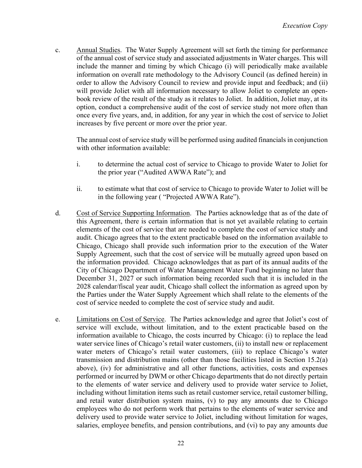c. Annual Studies. The Water Supply Agreement will set forth the timing for performance of the annual cost of service study and associated adjustments in Water charges. This will include the manner and timing by which Chicago (i) will periodically make available information on overall rate methodology to the Advisory Council (as defined herein) in order to allow the Advisory Council to review and provide input and feedback; and (ii) will provide Joliet with all information necessary to allow Joliet to complete an openbook review of the result of the study as it relates to Joliet. In addition, Joliet may, at its option, conduct a comprehensive audit of the cost of service study not more often than once every five years, and, in addition, for any year in which the cost of service to Joliet increases by five percent or more over the prior year.

The annual cost of service study will be performed using audited financials in conjunction with other information available:

- i. to determine the actual cost of service to Chicago to provide Water to Joliet for the prior year ("Audited AWWA Rate"); and
- ii. to estimate what that cost of service to Chicago to provide Water to Joliet will be in the following year ( "Projected AWWA Rate").
- d. Cost of Service Supporting Information. The Parties acknowledge that as of the date of this Agreement, there is certain information that is not yet available relating to certain elements of the cost of service that are needed to complete the cost of service study and audit. Chicago agrees that to the extent practicable based on the information available to Chicago, Chicago shall provide such information prior to the execution of the Water Supply Agreement, such that the cost of service will be mutually agreed upon based on the information provided. Chicago acknowledges that as part of its annual audits of the City of Chicago Department of Water Management Water Fund beginning no later than December 31, 2027 or such information being recorded such that it is included in the 2028 calendar/fiscal year audit, Chicago shall collect the information as agreed upon by the Parties under the Water Supply Agreement which shall relate to the elements of the cost of service needed to complete the cost of service study and audit.
- e. Limitations on Cost of Service. The Parties acknowledge and agree that Joliet's cost of service will exclude, without limitation, and to the extent practicable based on the information available to Chicago, the costs incurred by Chicago: (i) to replace the lead water service lines of Chicago's retail water customers, (ii) to install new or replacement water meters of Chicago's retail water customers, (iii) to replace Chicago's water transmission and distribution mains (other than those facilities listed in Section 15.2(a) above), (iv) for administrative and all other functions, activities, costs and expenses performed or incurred by DWM or other Chicago departments that do not directly pertain to the elements of water service and delivery used to provide water service to Joliet, including without limitation items such as retail customer service, retail customer billing, and retail water distribution system mains, (v) to pay any amounts due to Chicago employees who do not perform work that pertains to the elements of water service and delivery used to provide water service to Joliet, including without limitation for wages, salaries, employee benefits, and pension contributions, and (vi) to pay any amounts due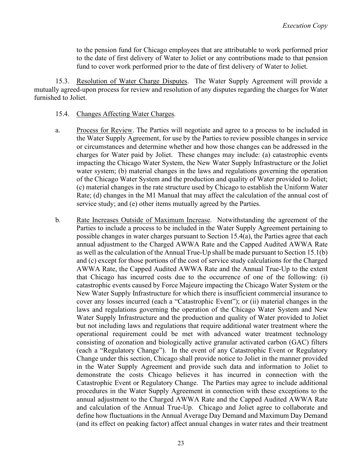to the pension fund for Chicago employees that are attributable to work performed prior to the date of first delivery of Water to Joliet or any contributions made to that pension fund to cover work performed prior to the date of first delivery of Water to Joliet.

15.3. Resolution of Water Charge Disputes. The Water Supply Agreement will provide a mutually agreed-upon process for review and resolution of any disputes regarding the charges for Water furnished to Joliet.

- 15.4. Changes Affecting Water Charges.
- a. Process for Review. The Parties will negotiate and agree to a process to be included in the Water Supply Agreement, for use by the Parties to review possible changes in service or circumstances and determine whether and how those changes can be addressed in the charges for Water paid by Joliet. These changes may include: (a) catastrophic events impacting the Chicago Water System, the New Water Supply Infrastructure or the Joliet water system; (b) material changes in the laws and regulations governing the operation of the Chicago Water System and the production and quality of Water provided to Joliet; (c) material changes in the rate structure used by Chicago to establish the Uniform Water Rate; (d) changes in the M1 Manual that may affect the calculation of the annual cost of service study; and (e) other items mutually agreed by the Parties.
- b. Rate Increases Outside of Maximum Increase. Notwithstanding the agreement of the Parties to include a process to be included in the Water Supply Agreement pertaining to possible changes in water charges pursuant to Section 15.4(a), the Parties agree that each annual adjustment to the Charged AWWA Rate and the Capped Audited AWWA Rate as well as the calculation of the Annual True-Up shall be made pursuant to Section 15.1(b) and (c) except for those portions of the cost of service study calculations for the Charged AWWA Rate, the Capped Audited AWWA Rate and the Annual True-Up to the extent that Chicago has incurred costs due to the occurrence of one of the following: (i) catastrophic events caused by Force Majeure impacting the Chicago Water System or the New Water Supply Infrastructure for which there is insufficient commercial insurance to cover any losses incurred (each a "Catastrophic Event"); or (ii) material changes in the laws and regulations governing the operation of the Chicago Water System and New Water Supply Infrastructure and the production and quality of Water provided to Joliet but not including laws and regulations that require additional water treatment where the operational requirement could be met with advanced water treatment technology consisting of ozonation and biologically active granular activated carbon (GAC) filters (each a "Regulatory Change"). In the event of any Catastrophic Event or Regulatory Change under this section, Chicago shall provide notice to Joliet in the manner provided in the Water Supply Agreement and provide such data and information to Joliet to demonstrate the costs Chicago believes it has incurred in connection with the Catastrophic Event or Regulatory Change. The Parties may agree to include additional procedures in the Water Supply Agreement in connection with these exceptions to the annual adjustment to the Charged AWWA Rate and the Capped Audited AWWA Rate and calculation of the Annual True-Up. Chicago and Joliet agree to collaborate and define how fluctuations in the Annual Average Day Demand and Maximum Day Demand (and its effect on peaking factor) affect annual changes in water rates and their treatment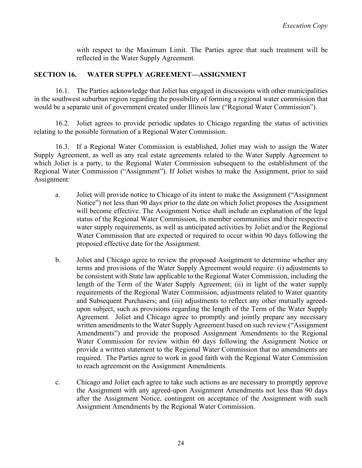with respect to the Maximum Limit. The Parties agree that such treatment will be reflected in the Water Supply Agreement.

### **SECTION 16. WATER SUPPLY AGREEMENT—ASSIGNMENT**

16.1. The Parties acknowledge that Joliet has engaged in discussions with other municipalities in the southwest suburban region regarding the possibility of forming a regional water commission that would be a separate unit of government created under Illinois law ("Regional Water Commission").

16.2. Joliet agrees to provide periodic updates to Chicago regarding the status of activities relating to the possible formation of a Regional Water Commission.

16.3. If a Regional Water Commission is established, Joliet may wish to assign the Water Supply Agreement, as well as any real estate agreements related to the Water Supply Agreement to which Joliet is a party, to the Regional Water Commission subsequent to the establishment of the Regional Water Commission ("Assignment"). If Joliet wishes to make the Assignment, prior to said Assignment:

- a. Joliet will provide notice to Chicago of its intent to make the Assignment ("Assignment Notice") not less than 90 days prior to the date on which Joliet proposes the Assignment will become effective. The Assignment Notice shall include an explanation of the legal status of the Regional Water Commission, its member communities and their respective water supply requirements, as well as anticipated activities by Joliet and/or the Regional Water Commission that are expected or required to occur within 90 days following the proposed effective date for the Assignment.
- b. Joliet and Chicago agree to review the proposed Assignment to determine whether any terms and provisions of the Water Supply Agreement would require: (i) adjustments to be consistent with State law applicable to the Regional Water Commission, including the length of the Term of the Water Supply Agreement; (ii) in light of the water supply requirements of the Regional Water Commission, adjustments related to Water quantity and Subsequent Purchasers; and (iii) adjustments to reflect any other mutually agreedupon subject, such as provisions regarding the length of the Term of the Water Supply Agreement. Joliet and Chicago agree to promptly and jointly prepare any necessary written amendments to the Water Supply Agreement based on such review ("Assignment Amendments") and provide the proposed Assignment Amendments to the Regional Water Commission for review within 60 days following the Assignment Notice or provide a written statement to the Regional Water Commission that no amendments are required. The Parties agree to work in good faith with the Regional Water Commission to reach agreement on the Assignment Amendments.
- c. Chicago and Joliet each agree to take such actions as are necessary to promptly approve the Assignment with any agreed-upon Assignment Amendments not less than 90 days after the Assignment Notice, contingent on acceptance of the Assignment with such Assignment Amendments by the Regional Water Commission.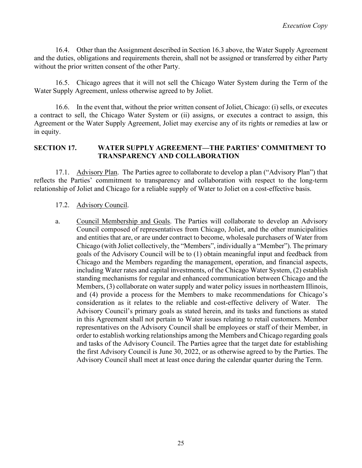16.4. Other than the Assignment described in Section 16.3 above, the Water Supply Agreement and the duties, obligations and requirements therein, shall not be assigned or transferred by either Party without the prior written consent of the other Party.

16.5. Chicago agrees that it will not sell the Chicago Water System during the Term of the Water Supply Agreement, unless otherwise agreed to by Joliet.

16.6. In the event that, without the prior written consent of Joliet, Chicago: (i) sells, or executes a contract to sell, the Chicago Water System or (ii) assigns, or executes a contract to assign, this Agreement or the Water Supply Agreement, Joliet may exercise any of its rights or remedies at law or in equity.

### **SECTION 17. WATER SUPPLY AGREEMENT—THE PARTIES' COMMITMENT TO TRANSPARENCY AND COLLABORATION**

17.1. Advisory Plan. The Parties agree to collaborate to develop a plan ("Advisory Plan") that reflects the Parties' commitment to transparency and collaboration with respect to the long-term relationship of Joliet and Chicago for a reliable supply of Water to Joliet on a cost-effective basis.

### 17.2. Advisory Council.

a. Council Membership and Goals. The Parties will collaborate to develop an Advisory Council composed of representatives from Chicago, Joliet, and the other municipalities and entities that are, or are under contract to become, wholesale purchasers of Water from Chicago (with Joliet collectively, the "Members", individually a "Member"). The primary goals of the Advisory Council will be to (1) obtain meaningful input and feedback from Chicago and the Members regarding the management, operation, and financial aspects, including Water rates and capital investments, of the Chicago Water System, (2) establish standing mechanisms for regular and enhanced communication between Chicago and the Members, (3) collaborate on water supply and water policy issues in northeastern Illinois, and (4) provide a process for the Members to make recommendations for Chicago's consideration as it relates to the reliable and cost-effective delivery of Water. The Advisory Council's primary goals as stated herein, and its tasks and functions as stated in this Agreement shall not pertain to Water issues relating to retail customers. Member representatives on the Advisory Council shall be employees or staff of their Member, in order to establish working relationships among the Members and Chicago regarding goals and tasks of the Advisory Council. The Parties agree that the target date for establishing the first Advisory Council is June 30, 2022, or as otherwise agreed to by the Parties. The Advisory Council shall meet at least once during the calendar quarter during the Term.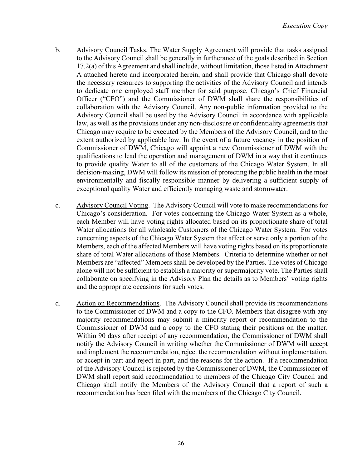- b. Advisory Council Tasks. The Water Supply Agreement will provide that tasks assigned to the Advisory Council shall be generally in furtherance of the goals described in Section 17.2(a) of this Agreement and shall include, without limitation, those listed in Attachment A attached hereto and incorporated herein, and shall provide that Chicago shall devote the necessary resources to supporting the activities of the Advisory Council and intends to dedicate one employed staff member for said purpose. Chicago's Chief Financial Officer ("CFO") and the Commissioner of DWM shall share the responsibilities of collaboration with the Advisory Council. Any non-public information provided to the Advisory Council shall be used by the Advisory Council in accordance with applicable law, as well as the provisions under any non-disclosure or confidentiality agreements that Chicago may require to be executed by the Members of the Advisory Council, and to the extent authorized by applicable law. In the event of a future vacancy in the position of Commissioner of DWM, Chicago will appoint a new Commissioner of DWM with the qualifications to lead the operation and management of DWM in a way that it continues to provide quality Water to all of the customers of the Chicago Water System. In all decision-making, DWM will follow its mission of protecting the public health in the most environmentally and fiscally responsible manner by delivering a sufficient supply of exceptional quality Water and efficiently managing waste and stormwater.
- c. Advisory Council Voting. The Advisory Council will vote to make recommendations for Chicago's consideration. For votes concerning the Chicago Water System as a whole, each Member will have voting rights allocated based on its proportionate share of total Water allocations for all wholesale Customers of the Chicago Water System. For votes concerning aspects of the Chicago Water System that affect or serve only a portion of the Members, each of the affected Members will have voting rights based on its proportionate share of total Water allocations of those Members. Criteria to determine whether or not Members are "affected" Members shall be developed by the Parties. The votes of Chicago alone will not be sufficient to establish a majority or supermajority vote. The Parties shall collaborate on specifying in the Advisory Plan the details as to Members' voting rights and the appropriate occasions for such votes.
- d. Action on Recommendations. The Advisory Council shall provide its recommendations to the Commissioner of DWM and a copy to the CFO. Members that disagree with any majority recommendations may submit a minority report or recommendation to the Commissioner of DWM and a copy to the CFO stating their positions on the matter. Within 90 days after receipt of any recommendation, the Commissioner of DWM shall notify the Advisory Council in writing whether the Commissioner of DWM will accept and implement the recommendation, reject the recommendation without implementation, or accept in part and reject in part, and the reasons for the action. If a recommendation of the Advisory Council is rejected by the Commissioner of DWM, the Commissioner of DWM shall report said recommendation to members of the Chicago City Council and Chicago shall notify the Members of the Advisory Council that a report of such a recommendation has been filed with the members of the Chicago City Council.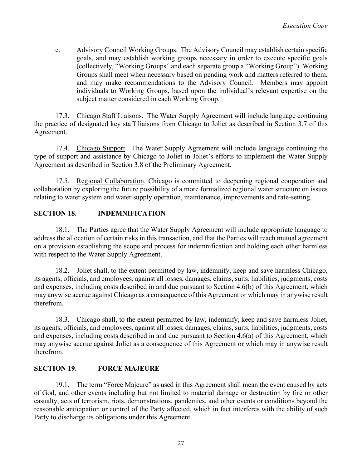e. Advisory Council Working Groups. The Advisory Council may establish certain specific goals, and may establish working groups necessary in order to execute specific goals (collectively, "Working Groups" and each separate group a "Working Group"). Working Groups shall meet when necessary based on pending work and matters referred to them, and may make recommendations to the Advisory Council. Members may appoint individuals to Working Groups, based upon the individual's relevant expertise on the subject matter considered in each Working Group.

17.3. Chicago Staff Liaisons. The Water Supply Agreement will include language continuing the practice of designated key staff liaisons from Chicago to Joliet as described in Section 3.7 of this Agreement.

17.4. Chicago Support. The Water Supply Agreement will include language continuing the type of support and assistance by Chicago to Joliet in Joliet's efforts to implement the Water Supply Agreement as described in Section 3.8 of the Preliminary Agreement.

17.5. Regional Collaboration. Chicago is committed to deepening regional cooperation and collaboration by exploring the future possibility of a more formalized regional water structure on issues relating to water system and water supply operation, maintenance, improvements and rate-setting.

# **SECTION 18. INDEMNIFICATION**

18.1. The Parties agree that the Water Supply Agreement will include appropriate language to address the allocation of certain risks in this transaction, and that the Parties will reach mutual agreement on a provision establishing the scope and process for indemnification and holding each other harmless with respect to the Water Supply Agreement.

18.2. Joliet shall, to the extent permitted by law, indemnify, keep and save harmless Chicago, its agents, officials, and employees, against all losses, damages, claims, suits, liabilities, judgments, costs and expenses, including costs described in and due pursuant to Section 4.6(b) of this Agreement, which may anywise accrue against Chicago as a consequence of this Agreement or which may in anywise result therefrom.

18.3. Chicago shall, to the extent permitted by law, indemnify, keep and save harmless Joliet, its agents, officials, and employees, against all losses, damages, claims, suits, liabilities, judgments, costs and expenses, including costs described in and due pursuant to Section 4.6(a) of this Agreement, which may anywise accrue against Joliet as a consequence of this Agreement or which may in anywise result therefrom.

## **SECTION 19. FORCE MAJEURE**

19.1. The term "Force Majeure" as used in this Agreement shall mean the event caused by acts of God, and other events including but not limited to material damage or destruction by fire or other casualty, acts of terrorism, riots, demonstrations, pandemics, and other events or conditions beyond the reasonable anticipation or control of the Party affected, which in fact interferes with the ability of such Party to discharge its obligations under this Agreement.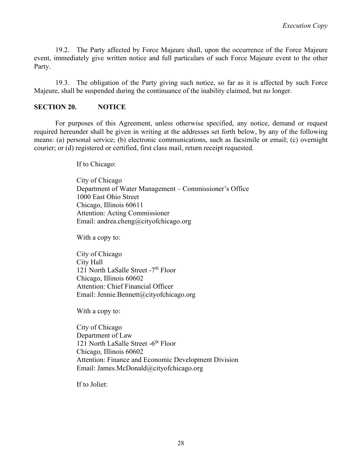19.2. The Party affected by Force Majeure shall, upon the occurrence of the Force Majeure event, immediately give written notice and full particulars of such Force Majeure event to the other Party.

19.3. The obligation of the Party giving such notice, so far as it is affected by such Force Majeure, shall be suspended during the continuance of the inability claimed, but no longer.

### **SECTION 20. NOTICE**

For purposes of this Agreement, unless otherwise specified, any notice, demand or request required hereunder shall be given in writing at the addresses set forth below, by any of the following means: (a) personal service; (b) electronic communications, such as facsimile or email; (c) overnight courier; or (d) registered or certified, first class mail, return receipt requested.

If to Chicago:

City of Chicago Department of Water Management – Commissioner's Office 1000 East Ohio Street Chicago, Illinois 60611 Attention: Acting Commissioner Email: andrea.cheng@cityofchicago.org

With a copy to:

City of Chicago City Hall 121 North LaSalle Street -7<sup>th</sup> Floor Chicago, Illinois 60602 Attention: Chief Financial Officer Email: Jennie.Bennett@cityofchicago.org

With a copy to:

City of Chicago Department of Law 121 North LaSalle Street -6<sup>th</sup> Floor Chicago, Illinois 60602 Attention: Finance and Economic Development Division Email: James.McDonald@cityofchicago.org

If to Joliet: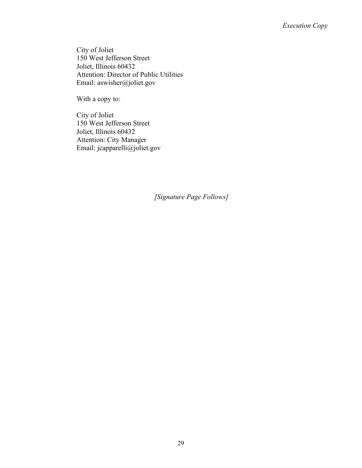City of Joliet 150 West Jefferson Street Joliet, Illinois 60432 Attention: Director of Public Utilities Email: aswisher@joliet.gov

With a copy to:

City of Joliet 150 West Jefferson Street Joliet, Illinois 60432 Attention: City Manager Email: jcapparelli@joliet.gov

*[Signature Page Follows]*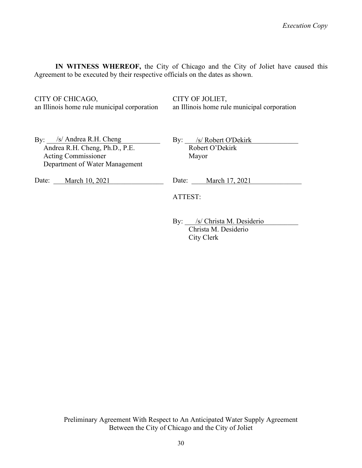**IN WITNESS WHEREOF,** the City of Chicago and the City of Joliet have caused this Agreement to be executed by their respective officials on the dates as shown.

CITY OF CHICAGO,

an Illinois home rule municipal corporation

CITY OF JOLIET, an Illinois home rule municipal corporation

By: S/ Andrea R.H. Cheng Andrea R.H. Cheng, Ph.D., P.E. Acting Commissioner Department of Water Management

By: <u>S/ Robert O'Dekirk</u> Robert O'Dekirk Mayor

Date: <u>March 10, 2021</u>

Date: <u>March 17, 2021</u>

ATTEST:

By: \_\_\_\_\_\_\_\_\_\_\_\_\_\_\_\_\_\_\_\_\_\_\_\_\_\_\_\_\_\_\_\_ /s/ Christa M. Desiderio Christa M. Desiderio City Clerk

Preliminary Agreement With Respect to An Anticipated Water Supply Agreement Between the City of Chicago and the City of Joliet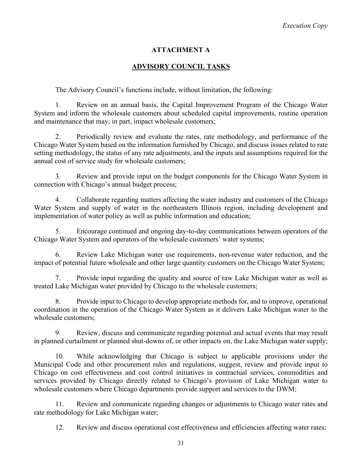## **ATTACHMENT A**

### **ADVISORY COUNCIL TASKS**

The Advisory Council's functions include, without limitation, the following:

1. Review on an annual basis, the Capital Improvement Program of the Chicago Water System and inform the wholesale customers about scheduled capital improvements, routine operation and maintenance that may, in part, impact wholesale customers;

2. Periodically review and evaluate the rates, rate methodology, and performance of the Chicago Water System based on the information furnished by Chicago, and discuss issues related to rate setting methodology, the status of any rate adjustments, and the inputs and assumptions required for the annual cost of service study for wholesale customers;

3. Review and provide input on the budget components for the Chicago Water System in connection with Chicago's annual budget process;

4. Collaborate regarding matters affecting the water industry and customers of the Chicago Water System and supply of water in the northeastern Illinois region, including development and implementation of water policy as well as public information and education;

5. Encourage continued and ongoing day-to-day communications between operators of the Chicago Water System and operators of the wholesale customers' water systems;

6. Review Lake Michigan water use requirements, non-revenue water reduction, and the impact of potential future wholesale and other large quantity customers on the Chicago Water System;

7. Provide input regarding the quality and source of raw Lake Michigan water as well as treated Lake Michigan water provided by Chicago to the wholesale customers;

8. Provide input to Chicago to develop appropriate methods for, and to improve, operational coordination in the operation of the Chicago Water System as it delivers Lake Michigan water to the wholesale customers;

9. Review, discuss and communicate regarding potential and actual events that may result in planned curtailment or planned shut-downs of, or other impacts on, the Lake Michigan water supply;

10. While acknowledging that Chicago is subject to applicable provisions under the Municipal Code and other procurement rules and regulations, suggest, review and provide input to Chicago on cost effectiveness and cost control initiatives in contractual services, commodities and services provided by Chicago directly related to Chicago's provision of Lake Michigan water to wholesale customers where Chicago departments provide support and services to the DWM;

11. Review and communicate regarding changes or adjustments to Chicago water rates and rate methodology for Lake Michigan water;

12. Review and discuss operational cost effectiveness and efficiencies affecting water rates;